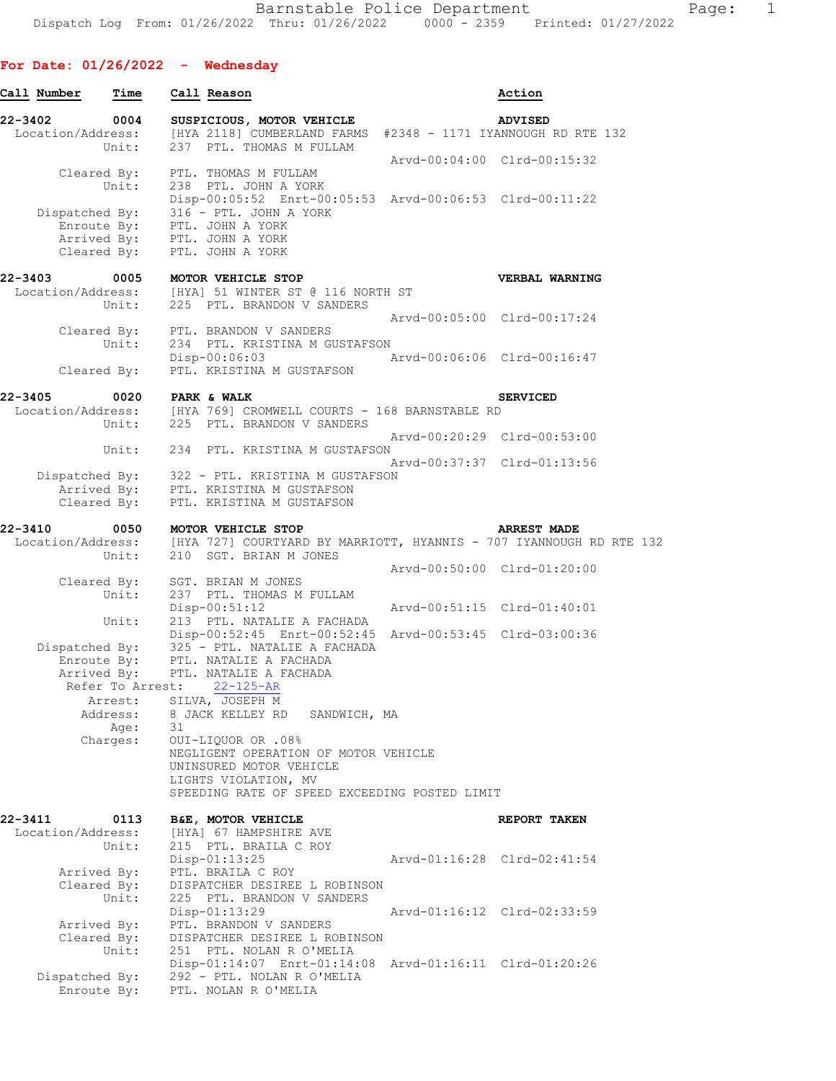## **For Date: 01/26/2022 - Wednesday**

| Call Number                  | Time                                |    | Call Reason                                                                                                                                                                                                                          |                             | Action             |
|------------------------------|-------------------------------------|----|--------------------------------------------------------------------------------------------------------------------------------------------------------------------------------------------------------------------------------------|-----------------------------|--------------------|
| 22-3402<br>Location/Address: | 0004<br>Unit:                       |    | SUSPICIOUS, MOTOR VEHICLE<br>[HYA 2118] CUMBERLAND FARMS #2348 - 1171 IYANNOUGH RD RTE 132<br>237 PTL. THOMAS M FULLAM                                                                                                               |                             | <b>ADVISED</b>     |
|                              | Cleared By:<br>Unit:<br>Enroute By: |    | PTL. THOMAS M FULLAM<br>238 PTL. JOHN A YORK<br>Disp-00:05:52 Enrt-00:05:53 Arvd-00:06:53 Clrd-00:11:22<br>Dispatched By: 316 - PTL. JOHN A YORK<br>PTL. JOHN A YORK<br>Arrived By: PTL. JOHN A YORK<br>Cleared By: PTL. JOHN A YORK | Arvd-00:04:00 Clrd-00:15:32 |                    |
| 22-3403                      | 0005                                |    | MOTOR VEHICLE STOP                                                                                                                                                                                                                   |                             | VERBAL WARNING     |
| Location/Address:            | Unit:                               |    | [HYA] 51 WINTER ST @ 116 NORTH ST<br>225 PTL. BRANDON V SANDERS                                                                                                                                                                      | Arvd-00:05:00 Clrd-00:17:24 |                    |
|                              | Unit:<br>Cleared By:                |    | Cleared By: PTL. BRANDON V SANDERS<br>234 PTL. KRISTINA M GUSTAFSON<br>$Disp-00:06:03$<br>PTL. KRISTINA M GUSTAFSON                                                                                                                  | Arvd-00:06:06 Clrd-00:16:47 |                    |
| 22-3405                      | 0020                                |    | <b>PARK &amp; WALK</b>                                                                                                                                                                                                               |                             | <b>SERVICED</b>    |
|                              | Unit:                               |    | Location/Address: [HYA 769] CROMWELL COURTS - 168 BARNSTABLE RD<br>225 PTL. BRANDON V SANDERS                                                                                                                                        |                             |                    |
|                              | Unit:                               |    | 234 PTL. KRISTINA M GUSTAFSON                                                                                                                                                                                                        | Arvd-00:20:29 Clrd-00:53:00 |                    |
|                              | Cleared By:                         |    | Dispatched By: 322 - PTL. KRISTINA M GUSTAFSON<br>Arrived By: PTL. KRISTINA M GUSTAFSON<br>PTL. KRISTINA M GUSTAFSON                                                                                                                 | Arvd-00:37:37 Clrd-01:13:56 |                    |
| 22-3410                      | 0050                                |    | MOTOR VEHICLE STOP<br>Location/Address: [HYA 727] COURTYARD BY MARRIOTT, HYANNIS - 707 IYANNOUGH RD RTE 132                                                                                                                          |                             | <b>ARREST MADE</b> |
|                              | Unit:                               |    | 210 SGT. BRIAN M JONES                                                                                                                                                                                                               | Arvd-00:50:00 Clrd-01:20:00 |                    |
|                              | Cleared By:<br>Unit:<br>Unit:       |    | SGT. BRIAN M JONES<br>237 PTL. THOMAS M FULLAM<br>$Disp-00:51:12$<br>213 PTL. NATALIE A FACHADA                                                                                                                                      | Arvd-00:51:15 Clrd-01:40:01 |                    |
|                              | Arrived By:                         |    | Disp-00:52:45 Enrt-00:52:45 Arvd-00:53:45 Clrd-03:00:36<br>Dispatched By: 325 - PTL. NATALIE A FACHADA<br>Enroute By: PTL. NATALIE A FACHADA<br>Arrived By: PTL. NATALIE A FACHADA                                                   |                             |                    |
|                              | Refer To Arrest:                    |    | $22 - 125 - AR$<br>Arrest: SILVA, JOSEPH M                                                                                                                                                                                           |                             |                    |
|                              | Address:<br>Age:                    | 31 | 8 JACK KELLEY RD<br>SANDWICH, MA                                                                                                                                                                                                     |                             |                    |
|                              | Charges:                            |    | 0UI-LIQUOR OR .08%<br>NEGLIGENT OPERATION OF MOTOR VEHICLE<br>UNINSURED MOTOR VEHICLE                                                                                                                                                |                             |                    |
|                              |                                     |    | LIGHTS VIOLATION, MV<br>SPEEDING RATE OF SPEED EXCEEDING POSTED LIMIT                                                                                                                                                                |                             |                    |
| 22-3411<br>Location/Address: | 0113                                |    | B&E, MOTOR VEHICLE<br>[HYA] 67 HAMPSHIRE AVE                                                                                                                                                                                         |                             | REPORT TAKEN       |
|                              | Unit:                               |    | 215 PTL. BRAILA C ROY<br>Disp-01:13:25                                                                                                                                                                                               | Arvd-01:16:28 Clrd-02:41:54 |                    |
| Arrived By:                  | Cleared By:<br>Unit:                |    | PTL. BRAILA C ROY<br>DISPATCHER DESIREE L ROBINSON<br>225 PTL. BRANDON V SANDERS<br>Disp-01:13:29                                                                                                                                    | Arvd-01:16:12 Clrd-02:33:59 |                    |
|                              | Arrived By:<br>Cleared By:<br>Unit: |    | PTL. BRANDON V SANDERS<br>DISPATCHER DESIREE L ROBINSON<br>251 PTL. NOLAN R O'MELIA                                                                                                                                                  |                             |                    |
| Dispatched By:               | Enroute By:                         |    | Disp-01:14:07 Enrt-01:14:08 Arvd-01:16:11 Clrd-01:20:26<br>292 - PTL. NOLAN R O'MELIA<br>PTL. NOLAN R O'MELIA                                                                                                                        |                             |                    |
|                              |                                     |    |                                                                                                                                                                                                                                      |                             |                    |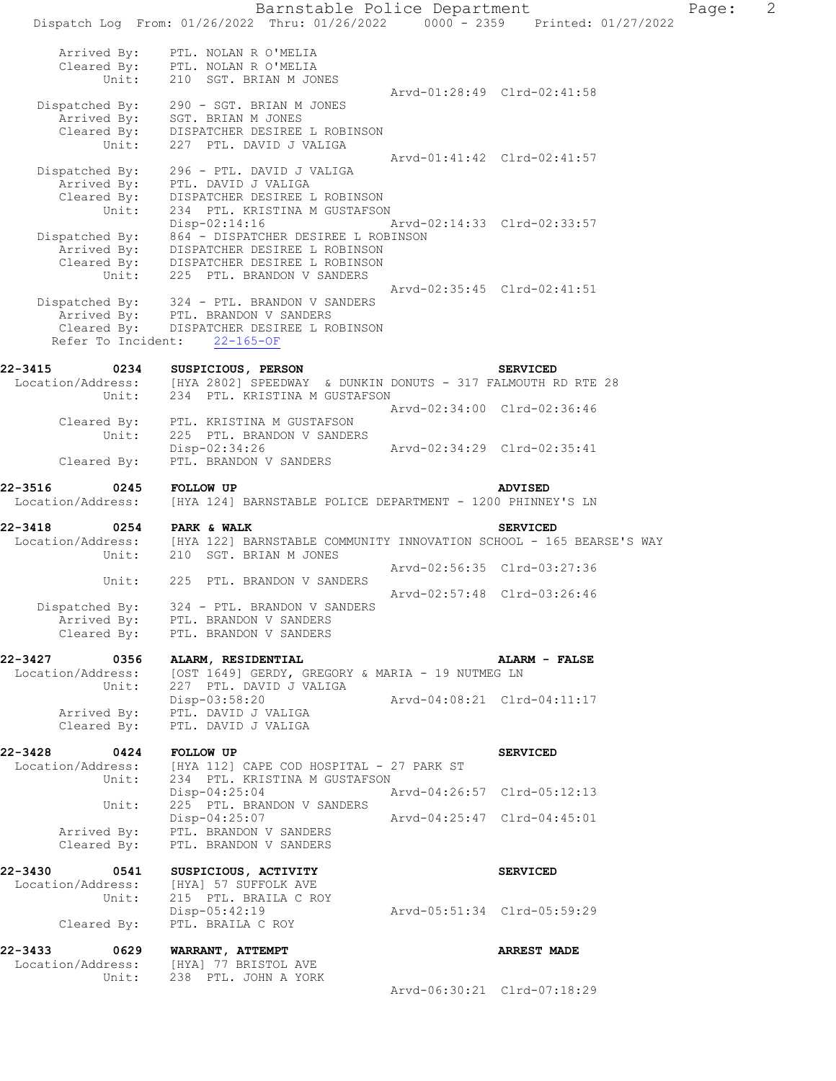Barnstable Police Department Page: 2 Dispatch Log From: 01/26/2022 Thru: 01/26/2022 0000 - 2359 Printed: 01/27/2022 Arrived By: PTL. NOLAN R O'MELIA Cleared By: PTL. NOLAN R O'MELIA Unit: 210 SGT. BRIAN M JONES Arvd-01:28:49 Clrd-02:41:58 Dispatched By: 290 - SGT. BRIAN M JONES Arrived By: SGT. BRIAN M JONES Cleared By: DISPATCHER DESIREE L ROBINSON Unit: 227 PTL. DAVID J VALIGA Arvd-01:41:42 Clrd-02:41:57 Dispatched By: 296 - PTL. DAVID J VALIGA Arrived By: PTL. DAVID J VALIGA Cleared By: DISPATCHER DESIREE L ROBINSON Unit: 234 PTL. KRISTINA M GUSTAFSON Disp-02:14:16 Arvd-02:14:33 Clrd-02:33:57 Dispatched By: 864 - DISPATCHER DESIREE L ROBINSON Arrived By: DISPATCHER DESIREE L ROBINSON Cleared By: DISPATCHER DESIREE L ROBINSON Unit: 225 PTL. BRANDON V SANDERS Arvd-02:35:45 Clrd-02:41:51 Dispatched By: 324 - PTL. BRANDON V SANDERS Arrived By: PTL. BRANDON V SANDERS Cleared By: DISPATCHER DESIREE L ROBINSON Refer To Incident: 22-165-OF **22-3415 0234 SUSPICIOUS, PERSON SERVICED**  Location/Address: [HYA 2802] SPEEDWAY & DUNKIN DONUTS - 317 FALMOUTH RD RTE 28 Unit: 234 PTL. KRISTINA M GUSTAFSON Arvd-02:34:00 Clrd-02:36:46 Cleared By: PTL. KRISTINA M GUSTAFSON Unit: 225 PTL. BRANDON V SANDERS<br>Disp-02:34:26 Disp-02:34:26 Arvd-02:34:29 Clrd-02:35:41<br>Cleared By: PTL. BRANDON V SANDERS PTL. BRANDON V SANDERS **22-3516 0245 FOLLOW UP ADVISED**  Location/Address: [HYA 124] BARNSTABLE POLICE DEPARTMENT - 1200 PHINNEY'S LN **22-3418 0254 PARK & WALK SERVICED**  Location/Address: [HYA 122] BARNSTABLE COMMUNITY INNOVATION SCHOOL - 165 BEARSE'S WAY Unit: 210 SGT. BRIAN M JONES Arvd-02:56:35 Clrd-03:27:36 Unit: 225 PTL. BRANDON V SANDERS Arvd-02:57:48 Clrd-03:26:46 Dispatched By: 324 - PTL. BRANDON V SANDERS Arrived By: PTL. BRANDON V SANDERS Cleared By: PTL. BRANDON V SANDERS **22-3427 0356 ALARM, RESIDENTIAL ALARM - FALSE**  Location/Address: [OST 1649] GERDY, GREGORY & MARIA - 19 NUTMEG LN<br>Unit: 227 PTL. DAVID J VALIGA 227 PTL. DAVID J VALIGA<br>Disp-03:58:20 Disp-03:58:20 Arvd-04:08:21 Clrd-04:11:17 Arrived By: PTL. DAVID J VALIGA Cleared By: PTL. DAVID J VALIGA **22-3428 0424 FOLLOW UP SERVICED**  Location/Address: [HYA 112] CAPE COD HOSPITAL - 27 PARK ST Unit: 234 PTL. KRISTINA M GUSTAFSON Disp-04:25:04 Arvd-04:26:57 Clrd-05:12:13 Unit: 225 PTL. BRANDON V SANDERS Disp-04:25:07 Arvd-04:25:47 Clrd-04:45:01 Arrived By: PTL. BRANDON V SANDERS Cleared By: PTL. BRANDON V SANDERS **22-3430 0541 SUSPICIOUS, ACTIVITY SERVICED**  Location/Address: [HYA] 57 SUFFOLK AVE Unit: 215 PTL. BRAILA C ROY Disp-05:42:19 Arvd-05:51:34 Clrd-05:59:29 Cleared By: PTL. BRAILA C ROY **22-3433 0629 WARRANT, ATTEMPT ARREST MADE**  Location/Address: [HYA] 77 BRISTOL AVE Unit: 238 PTL. JOHN A YORK Arvd-06:30:21 Clrd-07:18:29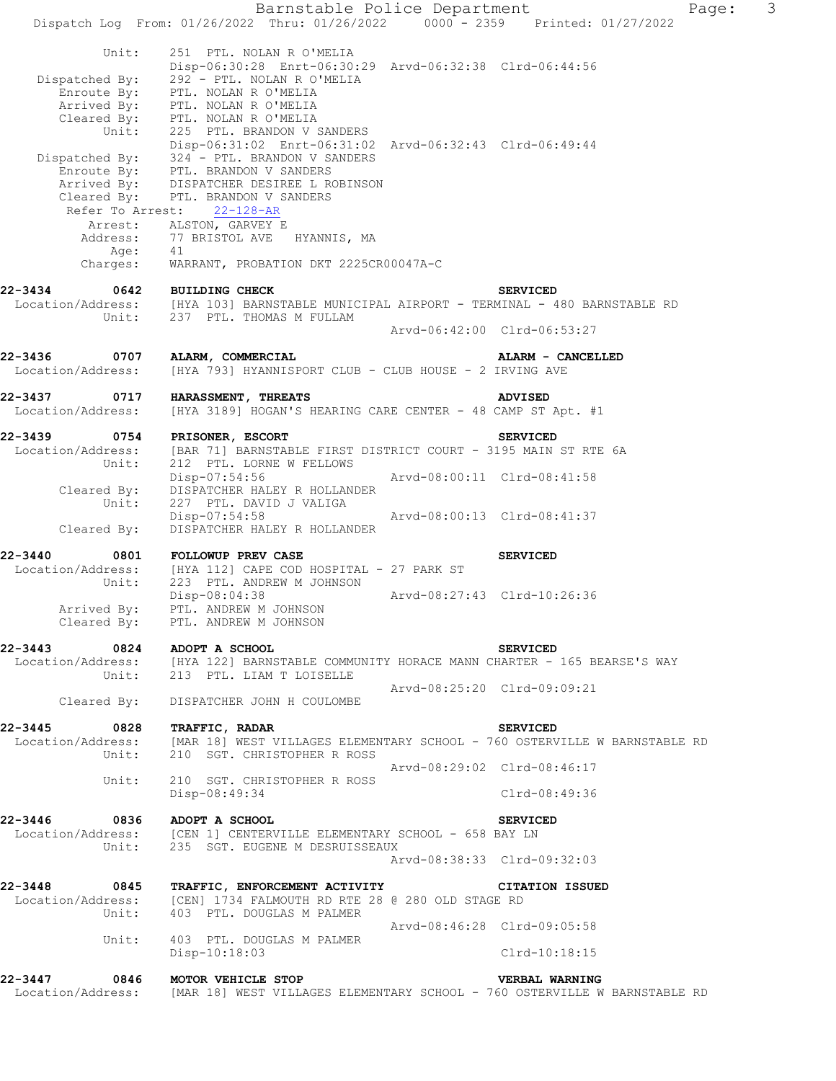Barnstable Police Department Page: 3 Dispatch Log From: 01/26/2022 Thru: 01/26/2022 0000 - 2359 Printed: 01/27/2022 Unit: 251 PTL. NOLAN R O'MELIA Disp-06:30:28 Enrt-06:30:29 Arvd-06:32:38 Clrd-06:44:56 Dispatched By: 292 - PTL. NOLAN R O'MELIA Enroute By: PTL. NOLAN R O'MELIA Arrived By: PTL. NOLAN R O'MELIA Cleared By: PTL. NOLAN R O'MELIA Unit: 225 PTL. BRANDON V SANDERS Disp-06:31:02 Enrt-06:31:02 Arvd-06:32:43 Clrd-06:49:44 Dispatched By: 324 - PTL. BRANDON V SANDERS Enroute By: PTL. BRANDON V SANDERS Arrived By: DISPATCHER DESIREE L ROBINSON Cleared By: PTL. BRANDON V SANDERS Refer To Arrest: 22-128-AR Arrest: ALSTON, GARVEY E Address: 77 BRISTOL AVE HYANNIS, MA Age: 41 Charges: WARRANT, PROBATION DKT 2225CR00047A-C **22-3434 0642 BUILDING CHECK SERVICED**  Location/Address: [HYA 103] BARNSTABLE MUNICIPAL AIRPORT - TERMINAL - 480 BARNSTABLE RD Unit: 237 PTL. THOMAS M FULLAM Arvd-06:42:00 Clrd-06:53:27 **22-3436 0707 ALARM, COMMERCIAL ALARM - CANCELLED**  Location/Address: [HYA 793] HYANNISPORT CLUB - CLUB HOUSE - 2 IRVING AVE **22-3437 0717 HARASSMENT, THREATS ADVISED**  Location/Address: [HYA 3189] HOGAN'S HEARING CARE CENTER - 48 CAMP ST Apt. #1 **22-3439 0754 PRISONER, ESCORT SERVICED**  Location/Address: [BAR 71] BARNSTABLE FIRST DISTRICT COURT - 3195 MAIN ST RTE 6A Unit: 212 PTL. LORNE W FELLOWS Disp-07:54:56 Arvd-08:00:11 Clrd-08:41:58 Cleared By: DISPATCHER HALEY R HOLLANDER Unit: 227 PTL. DAVID J VALIGA Disp-07:54:58 Arvd-08:00:13 Clrd-08:41:37 Cleared By: DISPATCHER HALEY R HOLLANDER 22-3440 0801 FOLLOWUP PREV CASE **SERVICED** Location/Address: [HYA 112] CAPE COD HOSPITAL - 27 PARK ST Unit: 223 PTL. ANDREW M JOHNSON Disp-08:04:38 Arvd-08:27:43 Clrd-10:26:36 Arrived By: PTL. ANDREW M JOHNSON Cleared By: PTL. ANDREW M JOHNSON **22-3443 0824 ADOPT A SCHOOL SERVICED**  [HYA 122] BARNSTABLE COMMUNITY HORACE MANN CHARTER - 165 BEARSE'S WAY Unit: 213 PTL. LIAM T LOISELLE Arvd-08:25:20 Clrd-09:09:21 Cleared By: DISPATCHER JOHN H COULOMBE **22-3445 0828 TRAFFIC, RADAR SERVICED**  [MAR 18] WEST VILLAGES ELEMENTARY SCHOOL - 760 OSTERVILLE W BARNSTABLE RD Location/Address: [MAR 18] WEST VILLAGES ELEMEN<br>Unit: 210 SGT. CHRISTOPHER R ROSS Arvd-08:29:02 Clrd-08:46:17 Unit: 210 SGT. CHRISTOPHER R ROSS Disp-08:49:34 Clrd-08:49:36 **22-3446 0836 ADOPT A SCHOOL SERVICED**  [CEN 1] CENTERVILLE ELEMENTARY SCHOOL - 658 BAY LN Unit: 235 SGT. EUGENE M DESRUISSEAUX Arvd-08:38:33 Clrd-09:32:03 **22-3448 0845 TRAFFIC, ENFORCEMENT ACTIVITY CITATION ISSUED**  Location/Address: [CEN] 1734 FALMOUTH RD RTE 28 @ 280 OLD STAGE RD Unit: 403 PTL. DOUGLAS M PALMER Arvd-08:46:28 Clrd-09:05:58 Unit: 403 PTL. DOUGLAS M PALMER Disp-10:18:03 Clrd-10:18:15 **22-3447 0846 MOTOR VEHICLE STOP VERBAL WARNING**<br>Location/Address: [MAR 18] WEST VILLAGES ELEMENTARY SCHOOL - 760 OSTERVILLE W [MAR 18] WEST VILLAGES ELEMENTARY SCHOOL - 760 OSTERVILLE W BARNSTABLE RD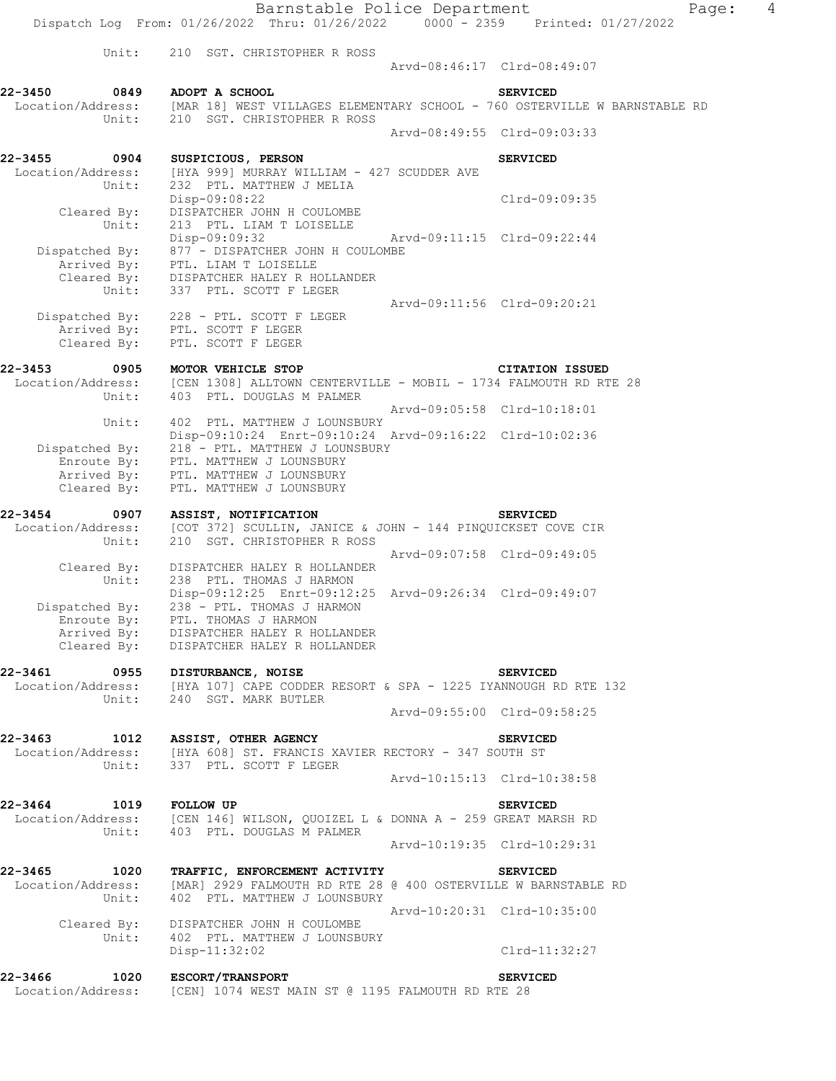|                                 | Barnstable Police Department                                                                                    |                             |                             | $\overline{4}$<br>Page: |
|---------------------------------|-----------------------------------------------------------------------------------------------------------------|-----------------------------|-----------------------------|-------------------------|
|                                 | Dispatch Log From: 01/26/2022 Thru: 01/26/2022 0000 - 2359 Printed: 01/27/2022                                  |                             |                             |                         |
| Unit:                           | 210 SGT. CHRISTOPHER R ROSS                                                                                     |                             | Arvd-08:46:17 Clrd-08:49:07 |                         |
|                                 |                                                                                                                 |                             |                             |                         |
| 22-3450<br>0849                 | ADOPT A SCHOOL<br>Location/Address: [MAR 18] WEST VILLAGES ELEMENTARY SCHOOL - 760 OSTERVILLE W BARNSTABLE RD   |                             | <b>SERVICED</b>             |                         |
| Unit:                           | 210 SGT. CHRISTOPHER R ROSS                                                                                     |                             |                             |                         |
|                                 |                                                                                                                 |                             | Arvd-08:49:55 Clrd-09:03:33 |                         |
| 22-3455<br>0904                 | SUSPICIOUS, PERSON                                                                                              |                             | <b>SERVICED</b>             |                         |
| Location/Address:<br>Unit:      | [HYA 999] MURRAY WILLIAM - 427 SCUDDER AVE<br>232 PTL. MATTHEW J MELIA                                          |                             |                             |                         |
|                                 | Disp-09:08:22                                                                                                   |                             | Clrd-09:09:35               |                         |
| Cleared By:<br>Unit:            | DISPATCHER JOHN H COULOMBE<br>213 PTL. LIAM T LOISELLE                                                          |                             |                             |                         |
|                                 | Disp-09:09:32                                                                                                   | Arvd-09:11:15 Clrd-09:22:44 |                             |                         |
| Dispatched By:                  | 877 - DISPATCHER JOHN H COULOMBE                                                                                |                             |                             |                         |
|                                 | Arrived By: PTL. LIAM T LOISELLE<br>Cleared By: DISPATCHER HALEY R HOLLANDER                                    |                             |                             |                         |
| Unit:                           | 337 PTL. SCOTT F LEGER                                                                                          |                             |                             |                         |
|                                 | Dispatched By: 228 - PTL. SCOTT F LEGER                                                                         |                             | Arvd-09:11:56 Clrd-09:20:21 |                         |
|                                 | Arrived By: PTL. SCOTT F LEGER                                                                                  |                             |                             |                         |
| Cleared By:                     | PTL. SCOTT F LEGER                                                                                              |                             |                             |                         |
| $22 - 3453$<br>0905             | MOTOR VEHICLE STOP                                                                                              |                             | <b>CITATION ISSUED</b>      |                         |
|                                 | Location/Address: [CEN 1308] ALLTOWN CENTERVILLE - MOBIL - 1734 FALMOUTH RD RTE 28                              |                             |                             |                         |
| Unit:                           | 403 PTL. DOUGLAS M PALMER                                                                                       |                             | Arvd-09:05:58 Clrd-10:18:01 |                         |
| Unit:                           | 402 PTL. MATTHEW J LOUNSBURY                                                                                    |                             |                             |                         |
|                                 | Disp-09:10:24 Enrt-09:10:24 Arvd-09:16:22 Clrd-10:02:36                                                         |                             |                             |                         |
| Dispatched By:<br>Enroute By:   | 218 - PTL. MATTHEW J LOUNSBURY<br>PTL. MATTHEW J LOUNSBURY                                                      |                             |                             |                         |
| Arrived By:                     | PTL. MATTHEW J LOUNSBURY                                                                                        |                             |                             |                         |
| Cleared By:                     | PTL. MATTHEW J LOUNSBURY                                                                                        |                             |                             |                         |
| 22-3454<br>0907                 | ASSIST, NOTIFICATION                                                                                            |                             | <b>SERVICED</b>             |                         |
| Location/Address:               | [COT 372] SCULLIN, JANICE & JOHN - 144 PINQUICKSET COVE CIR                                                     |                             |                             |                         |
| Unit:                           | 210 SGT. CHRISTOPHER R ROSS                                                                                     |                             | Arvd-09:07:58 Clrd-09:49:05 |                         |
| Cleared By:                     | DISPATCHER HALEY R HOLLANDER                                                                                    |                             |                             |                         |
| Unit:                           | 238 PTL. THOMAS J HARMON<br>Disp-09:12:25 Enrt-09:12:25 Arvd-09:26:34 Clrd-09:49:07                             |                             |                             |                         |
| Dispatched By:                  | 238 - PTL. THOMAS J HARMON                                                                                      |                             |                             |                         |
|                                 | Enroute By: PTL. THOMAS J HARMON                                                                                |                             |                             |                         |
|                                 | Arrived By: DISPATCHER HALEY R HOLLANDER<br>Cleared By: DISPATCHER HALEY R HOLLANDER                            |                             |                             |                         |
|                                 |                                                                                                                 |                             |                             |                         |
| 22-3461 0955 DISTURBANCE, NOISE | Location/Address: [HYA 107] CAPE CODDER RESORT & SPA - 1225 IYANNOUGH RD RTE 132                                |                             | <b>SERVICED</b>             |                         |
|                                 | Unit: 240 SGT. MARK BUTLER                                                                                      |                             |                             |                         |
|                                 |                                                                                                                 |                             | Arvd-09:55:00 Clrd-09:58:25 |                         |
|                                 | 22-3463 1012 ASSIST, OTHER AGENCY                                                                               |                             | <b>SERVICED</b>             |                         |
|                                 | Location/Address: [HYA 608] ST. FRANCIS XAVIER RECTORY - 347 SOUTH ST                                           |                             |                             |                         |
|                                 | Unit: 337 PTL. SCOTT F LEGER                                                                                    |                             | Arvd-10:15:13 Clrd-10:38:58 |                         |
|                                 |                                                                                                                 |                             |                             |                         |
| 22-3464<br>1019                 | <b>FOLLOW UP</b>                                                                                                |                             | <b>SERVICED</b>             |                         |
|                                 | Location/Address: [CEN 146] WILSON, QUOIZEL L & DONNA A - 259 GREAT MARSH RD<br>Unit: 403 PTL. DOUGLAS M PALMER |                             |                             |                         |
|                                 |                                                                                                                 |                             | Arvd-10:19:35 Clrd-10:29:31 |                         |
| 22-3465<br>1020                 | TRAFFIC, ENFORCEMENT ACTIVITY                                                                                   |                             | <b>SERVICED</b>             |                         |
| Location/Address:               | [MAR] 2929 FALMOUTH RD RTE 28 @ 400 OSTERVILLE W BARNSTABLE RD                                                  |                             |                             |                         |
|                                 | Unit: 402 PTL. MATTHEW J LOUNSBURY                                                                              |                             |                             |                         |
|                                 | Cleared By: DISPATCHER JOHN H COULOMBE                                                                          | Arvd-10:20:31 Clrd-10:35:00 |                             |                         |
|                                 | Unit: 402 PTL. MATTHEW J LOUNSBURY                                                                              |                             |                             |                         |
|                                 | Disp-11:32:02                                                                                                   |                             | Clrd-11:32:27               |                         |
| 22-3466                         | 1020 ESCORT/TRANSPORT                                                                                           |                             | <b>SERVICED</b>             |                         |
|                                 | Location/Address: [CEN] 1074 WEST MAIN ST @ 1195 FALMOUTH RD RTE 28                                             |                             |                             |                         |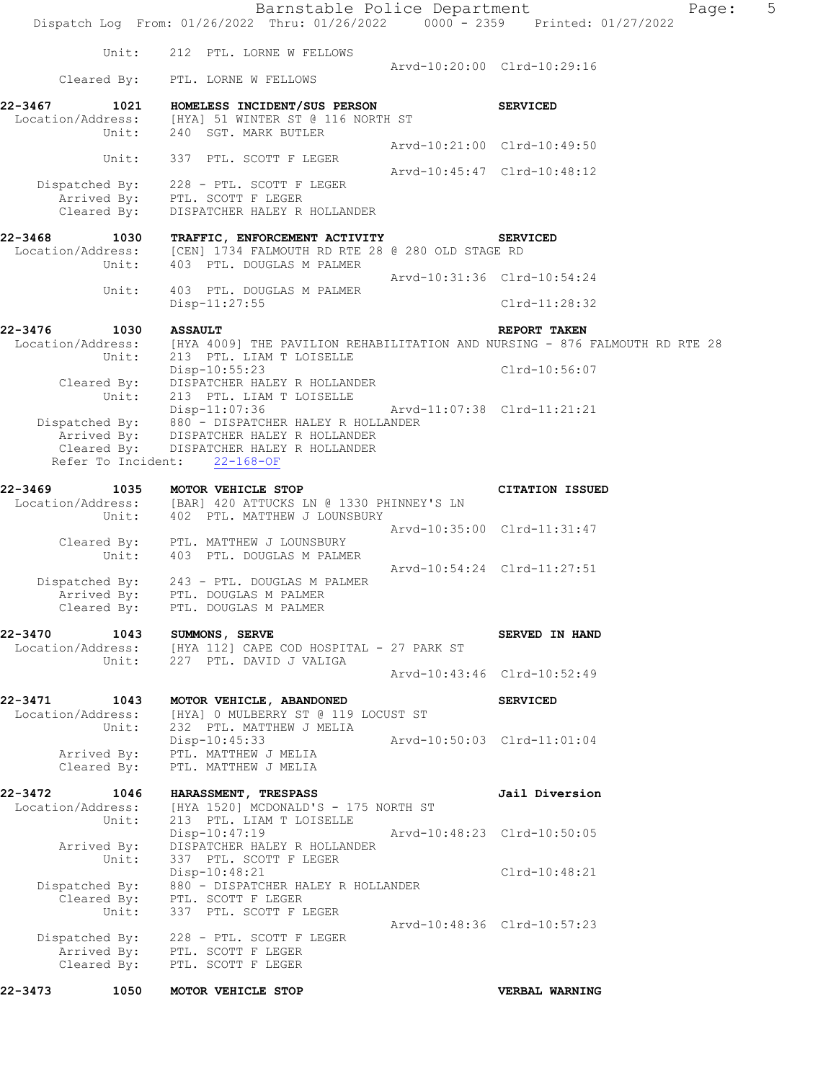| 22-3473 | 1050                                       | MOTOR VEHICLE STOP                                                                                                                               |                             | VERBAL WARNING                                                              |   |
|---------|--------------------------------------------|--------------------------------------------------------------------------------------------------------------------------------------------------|-----------------------------|-----------------------------------------------------------------------------|---|
|         |                                            | Dispatched By: 228 - PTL. SCOTT F LEGER<br>Arrived By: PTL. SCOTT F LEGER<br>Cleared By: PTL. SCOTT F LEGER                                      |                             |                                                                             |   |
|         | Unit:                                      | 337 PTL. SCOTT F LEGER                                                                                                                           | Arvd-10:48:36 Clrd-10:57:23 |                                                                             |   |
|         |                                            | Disp-10:48:21<br>Dispatched By: 880 - DISPATCHER HALEY R HOLLANDER<br>Cleared By: PTL. SCOTT F LEGER                                             |                             | Clrd-10:48:21                                                               |   |
|         | Arrived By:<br>Unit:                       | Disp-10:47:19<br>DISPATCHER HALEY R HOLLANDER<br>337 PTL. SCOTT F LEGER                                                                          | Arvd-10:48:23 Clrd-10:50:05 |                                                                             |   |
|         | 22-3472 1046<br>Location/Address:<br>Unit: | <b>HARASSMENT, TRESPASS</b><br>[HYA 1520] MCDONALD'S - 175 NORTH ST<br>213 PTL. LIAM T LOISELLE                                                  |                             | Jail Diversion                                                              |   |
|         | Cleared By:                                | Arrived By: PTL. MATTHEW J MELIA<br>PTL. MATTHEW J MELIA                                                                                         |                             |                                                                             |   |
|         | Location/Address:<br>Unit:                 | [HYA] 0 MULBERRY ST @ 119 LOCUST ST<br>232 PTL. MATTHEW J MELIA<br>Disp-10:45:33                                                                 | Arvd-10:50:03 Clrd-11:01:04 |                                                                             |   |
|         | 22-3471 1043                               | MOTOR VEHICLE, ABANDONED                                                                                                                         |                             | <b>SERVICED</b>                                                             |   |
|         |                                            | Unit: 227 PTL. DAVID J VALIGA                                                                                                                    |                             | Arvd-10:43:46 Clrd-10:52:49                                                 |   |
|         |                                            | 22-3470 1043 SUMMONS, SERVE<br>Location/Address: [HYA 112] CAPE COD HOSPITAL - 27 PARK ST                                                        |                             | SERVED IN HAND                                                              |   |
|         | Arrived By:                                | Dispatched By: 243 - PTL. DOUGLAS M PALMER<br>PTL. DOUGLAS M PALMER<br>Cleared By: PTL. DOUGLAS M PALMER                                         |                             | Arvd-10:54:24 Clrd-11:27:51                                                 |   |
|         | Unit:                                      | Cleared By: PTL. MATTHEW J LOUNSBURY<br>403 PTL. DOUGLAS M PALMER                                                                                |                             | Arvd-10:35:00 Clrd-11:31:47                                                 |   |
| 22-3469 | 1035<br>Unit:                              | MOTOR VEHICLE STOP<br>Location/Address: [BAR] 420 ATTUCKS LN @ 1330 PHINNEY'S LN<br>402 PTL. MATTHEW J LOUNSBURY                                 |                             | <b>CITATION ISSUED</b>                                                      |   |
|         |                                            | Refer To Incident: 22-168-OF                                                                                                                     |                             |                                                                             |   |
|         | Cleared By:                                | Disp-11:07:36<br>Dispatched By: $880 -$ DISPATCHER HALEY R HOLLANDER<br>Arrived By: DISPATCHER HALEY R HOLLANDER<br>DISPATCHER HALEY R HOLLANDER | Arvd-11:07:38 Clrd-11:21:21 |                                                                             |   |
|         | Cleared By:<br>Unit:                       | Disp-10:55:23<br>DISPATCHER HALEY R HOLLANDER<br>213 PTL. LIAM T LOISELLE                                                                        |                             | Clrd-10:56:07                                                               |   |
|         | Location/Address:<br>Unit:                 | 213 PTL. LIAM T LOISELLE                                                                                                                         |                             | [HYA 4009] THE PAVILION REHABILITATION AND NURSING - 876 FALMOUTH RD RTE 28 |   |
| 22-3476 | 1030                                       | $Disp-11:27:55$<br><b>ASSAULT</b>                                                                                                                |                             | Clrd-11:28:32<br>REPORT TAKEN                                               |   |
|         | Unit:                                      | 403 PTL. DOUGLAS M PALMER                                                                                                                        |                             | Arvd-10:31:36 Clrd-10:54:24                                                 |   |
| 22-3468 | 1030<br>Location/Address:<br>Unit:         | TRAFFIC, ENFORCEMENT ACTIVITY<br>[CEN] 1734 FALMOUTH RD RTE 28 @ 280 OLD STAGE RD<br>403 PTL. DOUGLAS M PALMER                                   |                             | <b>SERVICED</b>                                                             |   |
|         | Cleared By:                                | Dispatched By: 228 - PTL. SCOTT F LEGER<br>Arrived By: PTL. SCOTT F LEGER<br>DISPATCHER HALEY R HOLLANDER                                        |                             |                                                                             |   |
|         | Unit:                                      | 337 PTL. SCOTT F LEGER                                                                                                                           |                             | Arvd-10:21:00 Clrd-10:49:50<br>Arvd-10:45:47 Clrd-10:48:12                  |   |
| 22-3467 | 1021<br>Location/Address:<br>Unit:         | HOMELESS INCIDENT/SUS PERSON<br>[HYA] 51 WINTER ST @ 116 NORTH ST<br>240 SGT. MARK BUTLER                                                        |                             | <b>SERVICED</b>                                                             |   |
|         |                                            | Cleared By: PTL. LORNE W FELLOWS                                                                                                                 |                             | Arvd-10:20:00 Clrd-10:29:16                                                 |   |
|         | Unit:                                      | 212 PTL. LORNE W FELLOWS                                                                                                                         |                             |                                                                             |   |
|         |                                            | Barnstable Police Department<br>Dispatch Log From: 01/26/2022 Thru: 01/26/2022 0000 - 2359 Printed: 01/27/2022                                   |                             | Page:                                                                       | 5 |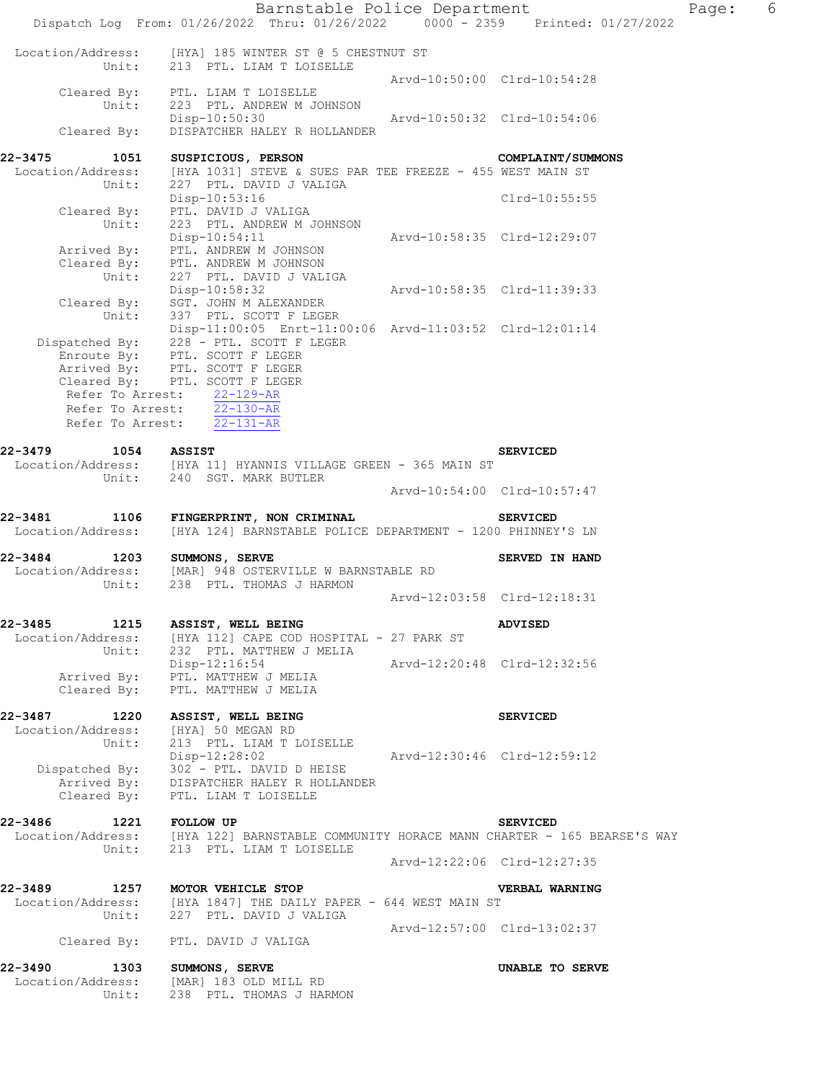|                                               | Barnstable Police Department<br>Dispatch Log From: 01/26/2022 Thru: 01/26/2022 0000 - 2359 Printed: 01/27/2022                                       |                             |                             | 6<br>Page: |
|-----------------------------------------------|------------------------------------------------------------------------------------------------------------------------------------------------------|-----------------------------|-----------------------------|------------|
|                                               |                                                                                                                                                      |                             |                             |            |
| Location/Address:                             | [HYA] 185 WINTER ST @ 5 CHESTNUT ST<br>Unit: 213 PTL. LIAM T LOISELLE                                                                                |                             |                             |            |
| Unit:                                         | Cleared By: PTL. LIAM T LOISELLE<br>223 PTL. ANDREW M JOHNSON                                                                                        |                             | Arvd-10:50:00 Clrd-10:54:28 |            |
| Cleared By:                                   | Disp-10:50:30 Arvd-10:50:32 Clrd-10:54:06<br>DISPATCHER HALEY R HOLLANDER                                                                            |                             |                             |            |
| $22 - 3475$<br>1051                           | SUSPICIOUS, PERSON                                                                                                                                   |                             | <b>COMPLAINT/SUMMONS</b>    |            |
| Unit:                                         | Location/Address: [HYA 1031] STEVE & SUES PAR TEE FREEZE - 455 WEST MAIN ST<br>227 PTL. DAVID J VALIGA                                               |                             |                             |            |
| Cleared By:<br>Unit:                          | Disp-10:53:16<br>PTL. DAVID J VALIGA                                                                                                                 |                             | Clrd-10:55:55               |            |
|                                               | 223 PTL. ANDREW M JOHNSON<br>$Disp-10:54:11$<br>Arrived By: PTL. ANDREW M JOHNSON<br>Cleared By: PTL. ANDREW M JOHNSON<br>Unit: 227 PTL. DAVID J VAL | Arvd-10:58:35 Clrd-12:29:07 |                             |            |
|                                               | 227 PTL. DAVID J VALIGA<br>Disp-10:58:32<br>Cleared By: SGT. JOHN M ALEXANDER                                                                        | Arvd-10:58:35 Clrd-11:39:33 |                             |            |
|                                               | Unit: 337 PTL. SCOTT F LEGER<br>Disp-11:00:05 Enrt-11:00:06 Arvd-11:03:52 Clrd-12:01:14<br>Dispatched By: 228 - PTL. SCOTT F LEGER                   |                             |                             |            |
|                                               | Enroute By: PTL. SCOTT F LEGER<br>Arrived By: PTL. SCOTT F LEGER<br>Cleared By: PTL. SCOTT F LEGER<br>Refer To Arrest: $22-129-AR$                   |                             |                             |            |
|                                               | Refer To Arrest: 22-130-AR<br>Refer To Arrest: $\overline{22-131-AR}$                                                                                |                             |                             |            |
| 22-3479                                       | 1054 ASSIST                                                                                                                                          |                             | <b>SERVICED</b>             |            |
|                                               | Location/Address: [HYA 11] HYANNIS VILLAGE GREEN - 365 MAIN ST<br>Unit: 240 SGT. MARK BUTLER                                                         |                             |                             |            |
|                                               |                                                                                                                                                      |                             | Arvd-10:54:00 Clrd-10:57:47 |            |
| 22-3481<br>1106<br>Location/Address:          | FINGERPRINT, NON CRIMINAL<br>[HYA 124] BARNSTABLE POLICE DEPARTMENT - 1200 PHINNEY'S LN                                                              |                             | <b>SERVICED</b>             |            |
| 22-3484                                       | 1203 SUMMONS, SERVE<br>Location/Address: [MAR] 948 OSTERVILLE W BARNSTABLE RD                                                                        |                             | SERVED IN HAND              |            |
| Unit:                                         | 238 PTL. THOMAS J HARMON                                                                                                                             |                             | Arvd-12:03:58 Clrd-12:18:31 |            |
| $22 - 3485$<br>1215<br>Unit:                  | ASSIST, WELL BEING<br>Location/Address: [HYA 112] CAPE COD HOSPITAL - 27 PARK ST<br>232 PTL. MATTHEW J MELIA                                         |                             | <b>ADVISED</b>              |            |
| Arrived By:<br>Cleared By:                    | Disp-12:16:54<br>PTL. MATTHEW J MELIA<br>PTL. MATTHEW J MELIA                                                                                        | Arvd-12:20:48 Clrd-12:32:56 |                             |            |
| 22-3487<br>1220<br>Location/Address:<br>Unit: | ASSIST, WELL BEING<br>[HYA] 50 MEGAN RD<br>213 PTL. LIAM T LOISELLE                                                                                  |                             | <b>SERVICED</b>             |            |
| Cleared By:                                   | Disp-12:28:02<br>Dispatched By: 302 - PTL. DAVID D HEISE<br>Arrived By: DISPATCHER HALEY R HOLLANDER<br>PTL. LIAM T LOISELLE                         | Arvd-12:30:46 Clrd-12:59:12 |                             |            |
| 22-3486<br>1221<br>Location/Address:<br>Unit: | FOLLOW UP<br>[HYA 122] BARNSTABLE COMMUNITY HORACE MANN CHARTER - 165 BEARSE'S WAY<br>213 PTL. LIAM T LOISELLE                                       |                             | <b>SERVICED</b>             |            |
|                                               |                                                                                                                                                      |                             | Arvd-12:22:06 Clrd-12:27:35 |            |
| 22-3489<br>Location/Address:<br>Unit:         | 1257 MOTOR VEHICLE STOP<br>[HYA 1847] THE DAILY PAPER - 644 WEST MAIN ST<br>227 PTL. DAVID J VALIGA                                                  |                             | VERBAL WARNING              |            |
|                                               | Cleared By: PTL. DAVID J VALIGA                                                                                                                      |                             | Arvd-12:57:00 Clrd-13:02:37 |            |
| 22-3490<br>Unit:                              | 1303 SUMMONS, SERVE<br>Location/Address: [MAR] 183 OLD MILL RD<br>238 PTL. THOMAS J HARMON                                                           |                             | UNABLE TO SERVE             |            |
|                                               |                                                                                                                                                      |                             |                             |            |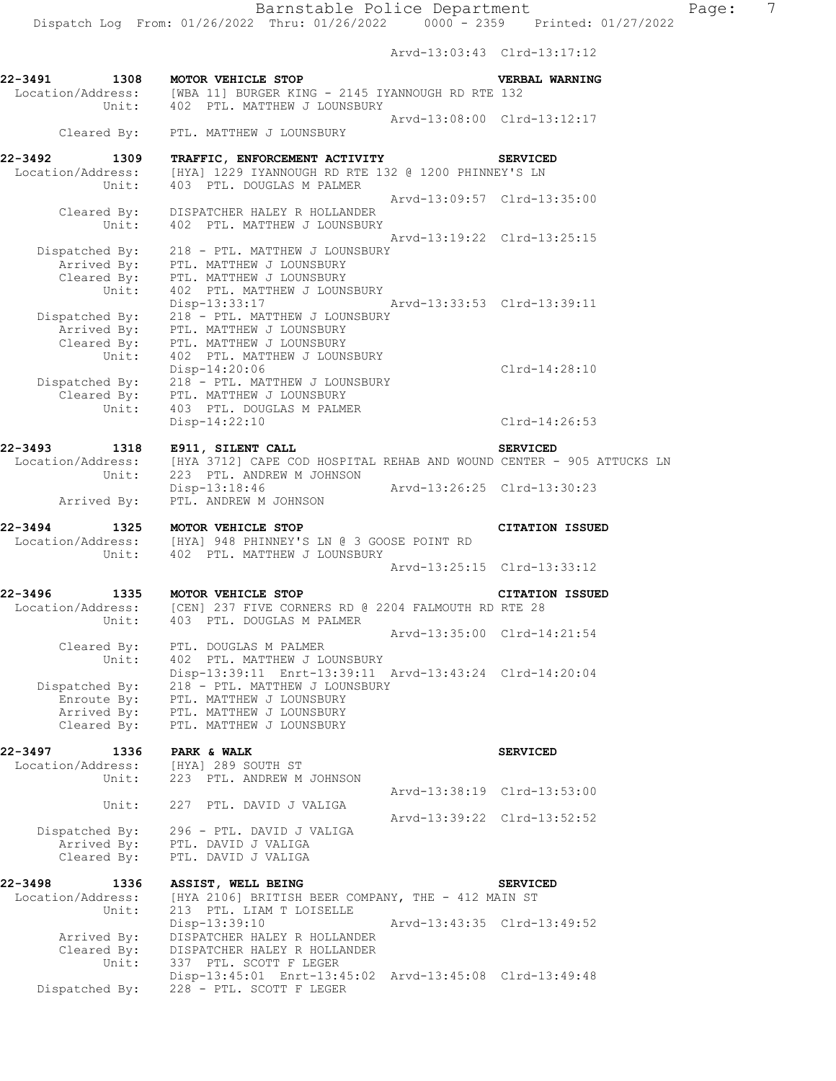Arvd-13:03:43 Clrd-13:17:12 **22-3491 1308 MOTOR VEHICLE STOP VERBAL WARNING**  Location/Address: [WBA 11] BURGER KING - 2145 IYANNOUGH RD RTE 132 Unit: 402 PTL. MATTHEW J LOUNSBURY Arvd-13:08:00 Clrd-13:12:17 Cleared By: PTL. MATTHEW J LOUNSBURY **22-3492 1309 TRAFFIC, ENFORCEMENT ACTIVITY SERVICED**  Location/Address: [HYA] 1229 IYANNOUGH RD RTE 132 @ 1200 PHINNEY'S LN Unit: 403 PTL. DOUGLAS M PALMER Arvd-13:09:57 Clrd-13:35:00 Cleared By: DISPATCHER HALEY R HOLLANDER Unit: 402 PTL. MATTHEW J LOUNSBURY Arvd-13:19:22 Clrd-13:25:15 Dispatched By: 218 - PTL. MATTHEW J LOUNSBURY Arrived By: PTL. MATTHEW J LOUNSBURY Cleared By: PTL. MATTHEW J LOUNSBURY Unit: 402 PTL. MATTHEW J LOUNSBURY<br>Disp-13:33:17 Disp-13:33:17 Arvd-13:33:53 Clrd-13:39:11 Dispatched By: 218 - PTL. MATTHEW J LOUNSBURY Arrived By: PTL. MATTHEW J LOUNSBURY Cleared By: PTL. MATTHEW J LOUNSBURY Unit: 402 PTL. MATTHEW J LOUNSBURY Disp-14:20:06 Clrd-14:28:10 Dispatched By: 218 - PTL. MATTHEW J LOUNSBURY Cleared By: PTL. MATTHEW J LOUNSBURY Unit: 403 PTL. DOUGLAS M PALMER Disp-14:22:10 Clrd-14:26:53 **22-3493 1318 E911, SILENT CALL SERVICED**  Location/Address: [HYA 3712] CAPE COD HOSPITAL REHAB AND WOUND CENTER - 905 ATTUCKS LN Unit: 223 PTL. ANDREW M JOHNSON Disp-13:18:46 Arvd-13:26:25 Clrd-13:30:23 Arrived By: PTL. ANDREW M JOHNSON **22-3494 1325 MOTOR VEHICLE STOP CITATION ISSUED**  Location/Address: [HYA] 948 PHINNEY'S LN @ 3 GOOSE POINT RD Unit: 402 PTL. MATTHEW J LOUNSBURY Arvd-13:25:15 Clrd-13:33:12 **22-3496 1335 MOTOR VEHICLE STOP CITATION ISSUED**  Location/Address: [CEN] 237 FIVE CORNERS RD @ 2204 FALMOUTH RD RTE 28 Unit: 403 PTL. DOUGLAS M PALMER Arvd-13:35:00 Clrd-14:21:54 Cleared By: PTL. DOUGLAS M PALMER Unit: 402 PTL. MATTHEW J LOUNSBURY Disp-13:39:11 Enrt-13:39:11 Arvd-13:43:24 Clrd-14:20:04 Dispatched By: 218 - PTL. MATTHEW J LOUNSBURY Enroute By: PTL. MATTHEW J LOUNSBURY Arrived By: PTL. MATTHEW J LOUNSBURY Cleared By: PTL. MATTHEW J LOUNSBURY **22-3497 1336 PARK & WALK SERVICED SERVICED**  Location/Address: [HYA] 289 SOUTH ST Unit: 223 PTL. ANDREW M JOHNSON Arvd-13:38:19 Clrd-13:53:00 Unit: 227 PTL. DAVID J VALIGA Arvd-13:39:22 Clrd-13:52:52 Dispatched By: 296 - PTL. DAVID J VALIGA Arrived By: PTL. DAVID J VALIGA Cleared By: PTL. DAVID J VALIGA **22-3498 1336 ASSIST, WELL BEING SERVICED**  Location/Address: [HYA 2106] BRITISH BEER COMPANY, THE - 412 MAIN ST Unit: 213 PTL. LIAM T LOISELLE<br>Disp-13:39:10 Disp-13:39:10 Arvd-13:43:35 Clrd-13:49:52 Arrived By: DISPATCHER HALEY R HOLLANDER Cleared By: DISPATCHER HALEY R HOLLANDER Unit: 337 PTL. SCOTT F LEGER Disp-13:45:01 Enrt-13:45:02 Arvd-13:45:08 Clrd-13:49:48 Dispatched By: 228 - PTL. SCOTT F LEGER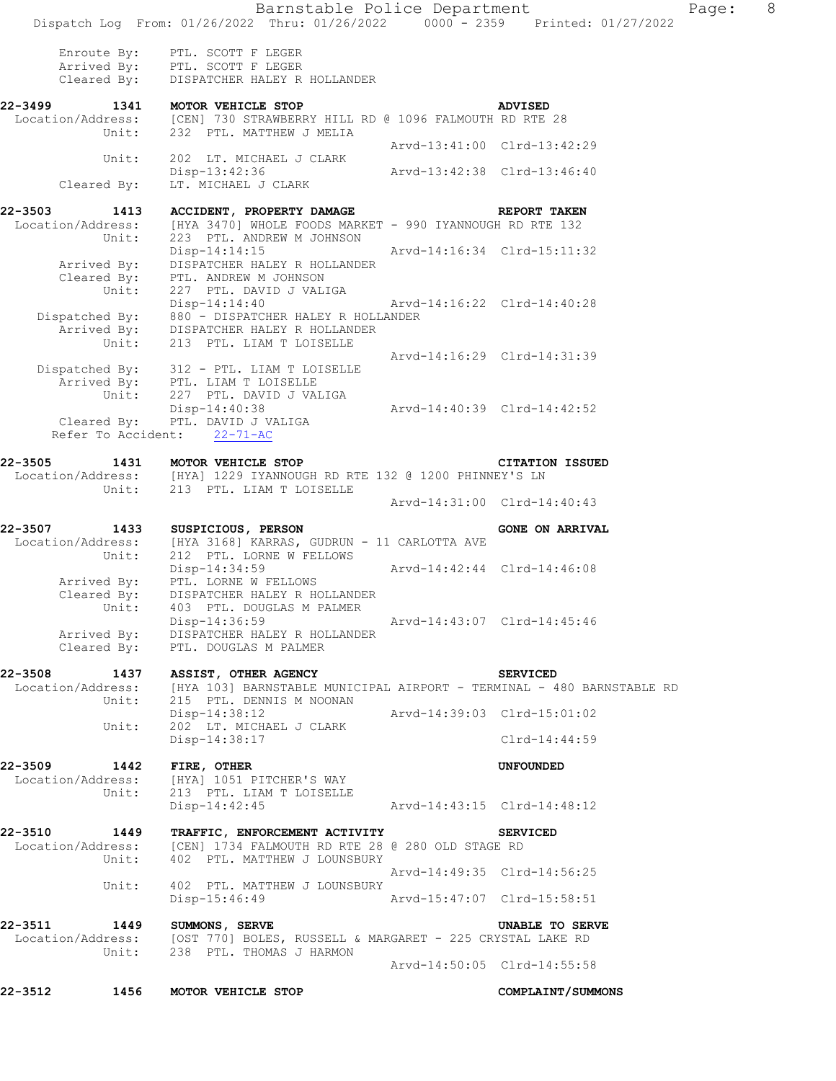Barnstable Police Department Page: 8 Dispatch Log From: 01/26/2022 Thru: 01/26/2022 0000 - 2359 Printed: 01/27/2022 Enroute By: PTL. SCOTT F LEGER Arrived By: PTL. SCOTT F LEGER Cleared By: DISPATCHER HALEY R HOLLANDER **22-3499 1341 MOTOR VEHICLE STOP ADVISED**<br>Location/Address: [CEN] 730 STRAWBERRY HILL RD @ 1096 FALMOUTH RD RTE dress: [CEN] 730 STRAWBERRY HILL RD @ 1096 FALMOUTH RD RTE 28<br>Unit: 232 PTL. MATTHEW J MELIA 232 PTL. MATTHEW J MELIA Arvd-13:41:00 Clrd-13:42:29 Unit: 202 LT. MICHAEL J CLARK Disp-13:42:36 Arvd-13:42:38 Clrd-13:46:40<br>Cleared By: LT. MICHAEL J CLARK LT. MICHAEL J CLARK **22-3503 1413 ACCIDENT, PROPERTY DAMAGE REPORT TAKEN**  Location/Address: [HYA 3470] WHOLE FOODS MARKET - 990 IYANNOUGH RD RTE 132<br>Unit: 223 PTL. ANDREW M JOHNSON 223 PTL. ANDREW M JOHNSON Disp-14:14:15 Arvd-14:16:34 Clrd-15:11:32 Arrived By: DISPATCHER HALEY R HOLLANDER Cleared By: PTL. ANDREW M JOHNSON Unit: 227 PTL. DAVID J VALIGA<br>Disp-14:14:40 Disp-14:14:40 Arvd-14:16:22 Clrd-14:40:28 Dispatched By: 880 - DISPATCHER HALEY R HOLLANDER Arrived By: DISPATCHER HALEY R HOLLANDER Unit: 213 PTL. LIAM T LOISELLE Arvd-14:16:29 Clrd-14:31:39 Dispatched By: 312 - PTL. LIAM T LOISELLE Arrived By: PTL. LIAM T LOISELLE Unit: 227 PTL. DAVID J VALIGA Disp-14:40:38 Arvd-14:40:39 Clrd-14:42:52 Cleared By: PTL. DAVID J VALIGA Refer To Accident: 22-71-AC **22-3505 1431 MOTOR VEHICLE STOP CITATION ISSUED**  Location/Address: [HYA] 1229 IYANNOUGH RD RTE 132 @ 1200 PHINNEY'S LN Unit: 213 PTL. LIAM T LOISELLE Arvd-14:31:00 Clrd-14:40:43 22-3507 1433 SUSPICIOUS, PERSON **GONE ON ARRIVAL** Location/Address: [HYA 3168] KARRAS, GUDRUN - 11 CARLOTTA AVE<br>Unit: 212 PTL. LORNE W FELLOWS 212 PTL. LORNE W FELLOWS<br>Disp-14:34:59 Arvd-14:42:44 Clrd-14:46:08 Arrived By: PTL. LORNE W FELLOWS Cleared By: DISPATCHER HALEY R HOLLANDER Unit: 403 PTL. DOUGLAS M PALMER<br>Disp-14:36:59 Disp-14:36:59 Arvd-14:43:07 Clrd-14:45:46 Arrived By: DISPATCHER HALEY R HOLLANDER Cleared By: PTL. DOUGLAS M PALMER **22-3508 1437 ASSIST, OTHER AGENCY SERVICED**  Location/Address: [HYA 103] BARNSTABLE MUNICIPAL AIRPORT - TERMINAL - 480 BARNSTABLE RD<br>Unit: 215 PTL. DENNIS M NOONAN 215 PTL. DENNIS M NOONAN Disp-14:38:12 Arvd-14:39:03 Clrd-15:01:02 Unit: 202 LT. MICHAEL J CLARK Disp-14:38:17 Clrd-14:44:59 **22-3509 1442 FIRE, OTHER UNFOUNDED**  Location/Address: [HYA] 1051 PITCHER'S WAY<br>Unit: 213 PTL. LIAM T LOISELLE 213 PTL. LIAM T LOISELLE Disp-14:42:45 Arvd-14:43:15 Clrd-14:48:12 **22-3510 1449 TRAFFIC, ENFORCEMENT ACTIVITY SERVICED**  Location/Address: [CEN] 1734 FALMOUTH RD RTE 28 @ 280 OLD STAGE RD Unit: 402 PTL. MATTHEW J LOUNSBURY Arvd-14:49:35 Clrd-14:56:25 Unit: 402 PTL. MATTHEW J LOUNSBURY<br>Disp-15:46:49 Arvd-15:47:07 Clrd-15:58:51 **22-3511 1449 SUMMONS, SERVE UNABLE TO SERVE**  Location/Address: [OST 770] BOLES, RUSSELL & MARGARET - 225 CRYSTAL LAKE RD<br>Unit: 238 PTL. THOMAS J HARMON 238 PTL. THOMAS J HARMON Arvd-14:50:05 Clrd-14:55:58 **22-3512 1456 MOTOR VEHICLE STOP COMPLAINT/SUMMONS**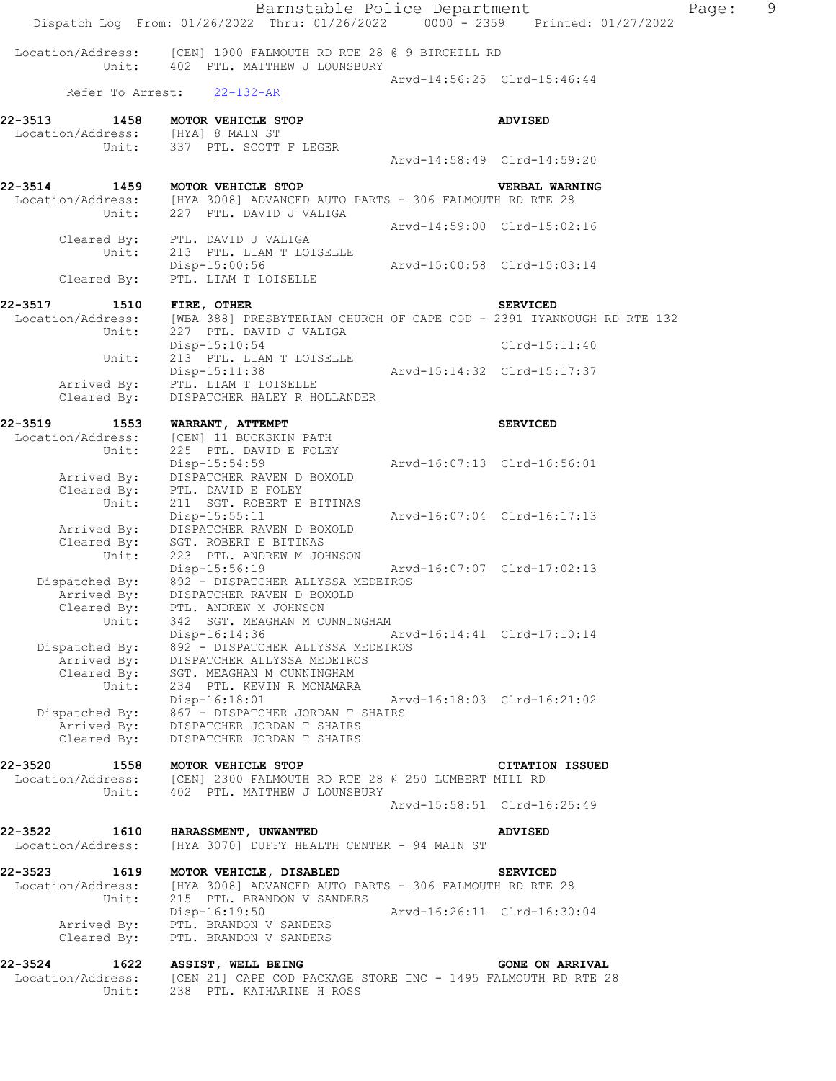|                                            | Barnstable Police Department<br>Dispatch Log From: 01/26/2022 Thru: 01/26/2022 0000 - 2359 Printed: 01/27/2022 |                             |                             | Page: | 9 |
|--------------------------------------------|----------------------------------------------------------------------------------------------------------------|-----------------------------|-----------------------------|-------|---|
| Location/Address:<br>Unit:                 | [CEN] 1900 FALMOUTH RD RTE 28 @ 9 BIRCHILL RD<br>402 PTL. MATTHEW J LOUNSBURY                                  |                             |                             |       |   |
| Refer To Arrest:                           | 22-132-AR                                                                                                      |                             | Arvd-14:56:25 Clrd-15:46:44 |       |   |
| 22-3513                                    | 1458 MOTOR VEHICLE STOP                                                                                        |                             | <b>ADVISED</b>              |       |   |
| Location/Address: [HYA] 8 MAIN ST<br>Unit: | 337 PTL. SCOTT F LEGER                                                                                         |                             |                             |       |   |
|                                            |                                                                                                                |                             | Arvd-14:58:49 Clrd-14:59:20 |       |   |
| 22-3514                                    | 1459 MOTOR VEHICLE STOP                                                                                        |                             | VERBAL WARNING              |       |   |
| Unit:                                      | Location/Address: [HYA 3008] ADVANCED AUTO PARTS - 306 FALMOUTH RD RTE 28<br>227 PTL. DAVID J VALIGA           |                             |                             |       |   |
| Cleared By:                                | PTL. DAVID J VALIGA                                                                                            |                             | Arvd-14:59:00 Clrd-15:02:16 |       |   |
| Unit:                                      | 213 PTL. LIAM T LOISELLE                                                                                       |                             |                             |       |   |
| Cleared By:                                | Disp-15:00:56 Arvd-15:00:58 Clrd-15:03:14<br>PTL. LIAM T LOISELLE                                              |                             |                             |       |   |
| 22-3517<br>1510                            | FIRE, OTHER                                                                                                    |                             | <b>SERVICED</b>             |       |   |
| Location/Address:                          | [WBA 388] PRESBYTERIAN CHURCH OF CAPE COD - 2391 IYANNOUGH RD RTE 132                                          |                             |                             |       |   |
| Unit:                                      | 227 PTL. DAVID J VALIGA<br>$Disp-15:10:54$                                                                     |                             | $Clrd-15:11:40$             |       |   |
| Unit:                                      | 213 PTL. LIAM T LOISELLE                                                                                       |                             |                             |       |   |
| Arrived By:                                | $Disp-15:11:38$<br>PTL. LIAM T LOISELLE                                                                        |                             |                             |       |   |
| Cleared By:                                | DISPATCHER HALEY R HOLLANDER                                                                                   |                             |                             |       |   |
| 22-3519<br>1553                            | WARRANT, ATTEMPT                                                                                               |                             | <b>SERVICED</b>             |       |   |
| Location/Address:                          | [CEN] 11 BUCKSKIN PATH                                                                                         |                             |                             |       |   |
| Unit:                                      | 225 PTL. DAVID E FOLEY                                                                                         |                             |                             |       |   |
| Arrived By:                                | $Disp-15:54:59$<br>DISPATCHER RAVEN D BOXOLD                                                                   | Arvd-16:07:13 Clrd-16:56:01 |                             |       |   |
| Cleared By:                                | PTL. DAVID E FOLEY                                                                                             |                             |                             |       |   |
| Unit:                                      | 211 SGT. ROBERT E BITINAS                                                                                      |                             |                             |       |   |
| Arrived By:                                | $Disp-15:55:11$<br>DISPATCHER RAVEN D BOXOLD                                                                   |                             | Arvd-16:07:04 Clrd-16:17:13 |       |   |
| Cleared By:                                | SGT. ROBERT E BITINAS                                                                                          |                             |                             |       |   |
| Unit:                                      | 223 PTL. ANDREW M JOHNSON<br>Disp-15:56:19                                                                     |                             | Arvd-16:07:07 Clrd-17:02:13 |       |   |
| Dispatched By:                             | 892 - DISPATCHER ALLYSSA MEDEIROS                                                                              |                             |                             |       |   |
| Arrived By:                                | DISPATCHER RAVEN D BOXOLD                                                                                      |                             |                             |       |   |
| Cleared By:<br>Unit:                       | PTL. ANDREW M JOHNSON<br>342 SGT. MEAGHAN M CUNNINGHAM                                                         |                             |                             |       |   |
|                                            | Disp-16:14:36                                                                                                  |                             | Arvd-16:14:41 Clrd-17:10:14 |       |   |
| Dispatched By:                             | 892 - DISPATCHER ALLYSSA MEDEIROS                                                                              |                             |                             |       |   |
| Arrived By:<br>Cleared By:                 | DISPATCHER ALLYSSA MEDEIROS<br>SGT. MEAGHAN M CUNNINGHAM                                                       |                             |                             |       |   |
| Unit:                                      | 234 PTL. KEVIN R MCNAMARA                                                                                      |                             |                             |       |   |
|                                            | Disp-16:18:01                                                                                                  | Arvd-16:18:03 Clrd-16:21:02 |                             |       |   |
| Dispatched By:<br>Arrived By:              | 867 - DISPATCHER JORDAN T SHAIRS<br>DISPATCHER JORDAN T SHAIRS                                                 |                             |                             |       |   |
| Cleared By:                                | DISPATCHER JORDAN T SHAIRS                                                                                     |                             |                             |       |   |
| 22-3520<br>1558                            | MOTOR VEHICLE STOP                                                                                             |                             | <b>CITATION ISSUED</b>      |       |   |
| Location/Address:                          | [CEN] 2300 FALMOUTH RD RTE 28 @ 250 LUMBERT MILL RD                                                            |                             |                             |       |   |
| Unit:                                      | 402 PTL. MATTHEW J LOUNSBURY                                                                                   |                             | Arvd-15:58:51 Clrd-16:25:49 |       |   |
|                                            |                                                                                                                |                             |                             |       |   |
| 22-3522 1610<br>Location/Address:          | <b>HARASSMENT, UNWANTED</b><br>[HYA 3070] DUFFY HEALTH CENTER - 94 MAIN ST                                     |                             | ADVISED                     |       |   |
| 22-3523<br>1619                            | MOTOR VEHICLE, DISABLED                                                                                        |                             | <b>SERVICED</b>             |       |   |
| Location/Address:<br>Unit:                 | [HYA 3008] ADVANCED AUTO PARTS - 306 FALMOUTH RD RTE 28                                                        |                             |                             |       |   |
|                                            | 215 PTL. BRANDON V SANDERS<br>Disp-16:19:50                                                                    | Arvd-16:26:11 Clrd-16:30:04 |                             |       |   |
| Arrived By:                                | PTL. BRANDON V SANDERS                                                                                         |                             |                             |       |   |
| Cleared By:                                | PTL. BRANDON V SANDERS                                                                                         |                             |                             |       |   |
| 22-3524 1622                               | ASSIST, WELL BEING                                                                                             |                             | <b>GONE ON ARRIVAL</b>      |       |   |
| Location/Address:<br>Unit:                 | [CEN 21] CAPE COD PACKAGE STORE INC - 1495 FALMOUTH RD RTE 28<br>238 PTL. KATHARINE H ROSS                     |                             |                             |       |   |
|                                            |                                                                                                                |                             |                             |       |   |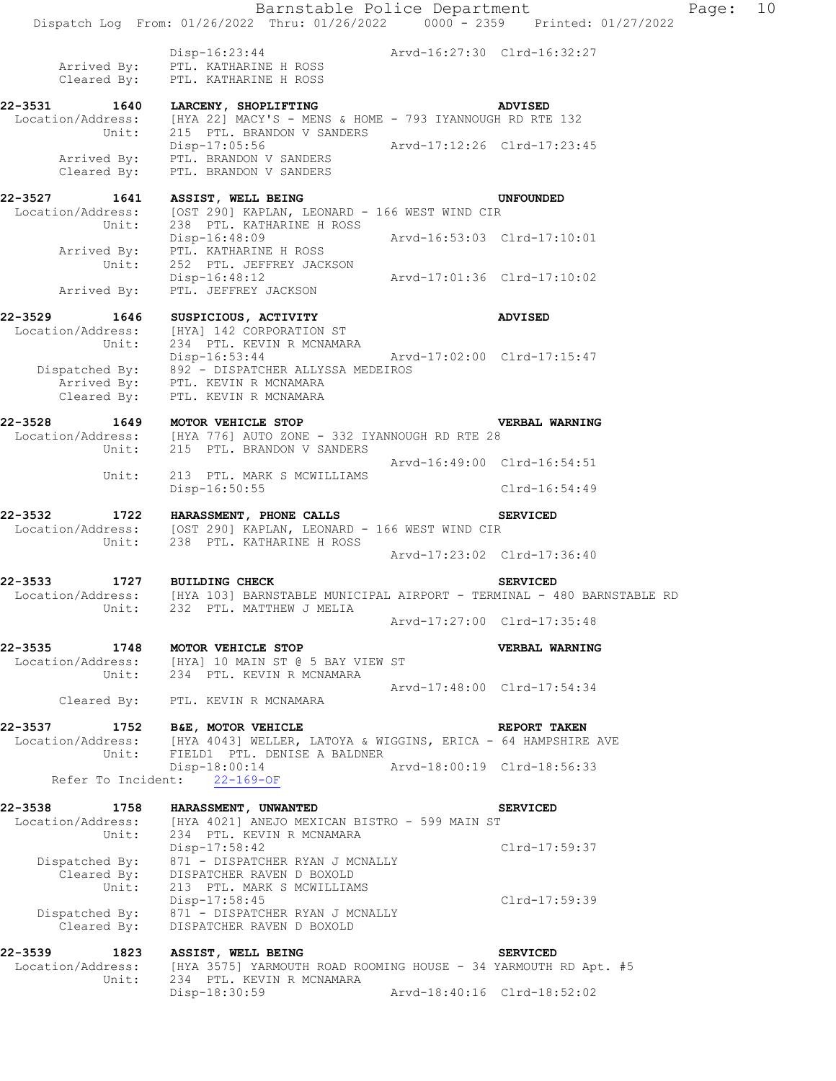Barnstable Police Department Fage: 10 Dispatch Log From: 01/26/2022 Thru: 01/26/2022 0000 - 2359 Printed: 01/27/2022 Disp-16:23:44 Arvd-16:27:30 Clrd-16:32:27 Arrived By: PTL. KATHARINE H ROSS Cleared By: PTL. KATHARINE H ROSS **22-3531 1640 LARCENY, SHOPLIFTING ADVISED**  Location/Address: [HYA 22] MACY'S - MENS & HOME - 793 IYANNOUGH RD RTE 132 Unit: 215 PTL. BRANDON V SANDERS Disp-17:05:56 Arvd-17:12:26 Clrd-17:23:45 Arrived By: PTL. BRANDON V SANDERS Cleared By: PTL. BRANDON V SANDERS **22-3527 1641 ASSIST, WELL BEING UNFOUNDED**  Location/Address: [OST 290] KAPLAN, LEONARD - 166 WEST WIND CIR Unit: 238 PTL. KATHARINE H ROSS<br>Disp-16:48:09 Disp-16:48:09 Arvd-16:53:03 Clrd-17:10:01 Arrived By: PTL. KATHARINE H ROSS Unit: 252 PTL. JEFFREY JACKSON Disp-16:48:12 Arvd-17:01:36 Clrd-17:10:02 Arrived By: PTL. JEFFREY JACKSON **22-3529 1646 SUSPICIOUS, ACTIVITY ADVISED**  Location/Address: [HYA] 142 CORPORATION ST Unit: 234 PTL. KEVIN R MCNAMARA Disp-16:53:44 Arvd-17:02:00 Clrd-17:15:47 Dispatched By: 892 - DISPATCHER ALLYSSA MEDEIROS Arrived By: PTL. KEVIN R MCNAMARA Cleared By: PTL. KEVIN R MCNAMARA **22-3528 1649 MOTOR VEHICLE STOP VERBAL WARNING**  Location/Address: [HYA 776] AUTO ZONE - 332 IYANNOUGH RD RTE 28 Unit: 215 PTL. BRANDON V SANDERS Arvd-16:49:00 Clrd-16:54:51 Unit: 213 PTL. MARK S MCWILLIAMS Disp-16:50:55 Clrd-16:54:49 **22-3532 1722 HARASSMENT, PHONE CALLS SERVICED**  Location/Address: [OST 290] KAPLAN, LEONARD - 166 WEST WIND CIR Unit: 238 PTL. KATHARINE H ROSS Arvd-17:23:02 Clrd-17:36:40 **22-3533 1727 BUILDING CHECK SERVICED**  Location/Address: [HYA 103] BARNSTABLE MUNICIPAL AIRPORT - TERMINAL - 480 BARNSTABLE RD Unit: 232 PTL. MATTHEW J MELIA Arvd-17:27:00 Clrd-17:35:48 **22-3535 1748 MOTOR VEHICLE STOP VERBAL WARNING**  Location/Address: [HYA] 10 MAIN ST @ 5 BAY VIEW ST Unit: 234 PTL. KEVIN R MCNAMARA Arvd-17:48:00 Clrd-17:54:34 Cleared By: PTL. KEVIN R MCNAMARA **22-3537 1752 B&E, MOTOR VEHICLE REPORT TAKEN**<br>Location/Address: [HYA 4043] WELLER, LATOYA & WIGGINS, ERICA - 64 HAMPSHIRE [HYA 4043] WELLER, LATOYA & WIGGINS, ERICA - 64 HAMPSHIRE AVE Unit: FIELD1 PTL. DENISE A BALDNER Disp-18:00:14 Arvd-18:00:19 Clrd-18:56:33 Refer To Incident: 22-169-OF **22-3538 1758 HARASSMENT, UNWANTED SERVICED**  Location/Address: [HYA 4021] ANEJO MEXICAN BISTRO - 599 MAIN ST Unit: 234 PTL. KEVIN R MCNAMARA Disp-17:58:42 Clrd-17:59:37 Dispatched By: 871 - DISPATCHER RYAN J MCNALLY Cleared By: DISPATCHER RAVEN D BOXOLD Unit: 213 PTL. MARK S MCWILLIAMS Disp-17:58:45 Clrd-17:59:39 Dispatched By: 871 - DISPATCHER RYAN J MCNALLY Cleared By: DISPATCHER RAVEN D BOXOLD 22-3539 1823 ASSIST, WELL BEING **SERVICED** Location/Address: [HYA 3575] YARMOUTH ROAD ROOMING HOUSE - 34 YARMOUTH RD Apt. #5<br>Unit: 234 PTL. KEVIN R MCNAMARA 234 PTL. KEVIN R MCNAMARA

Disp-18:30:59 Arvd-18:40:16 Clrd-18:52:02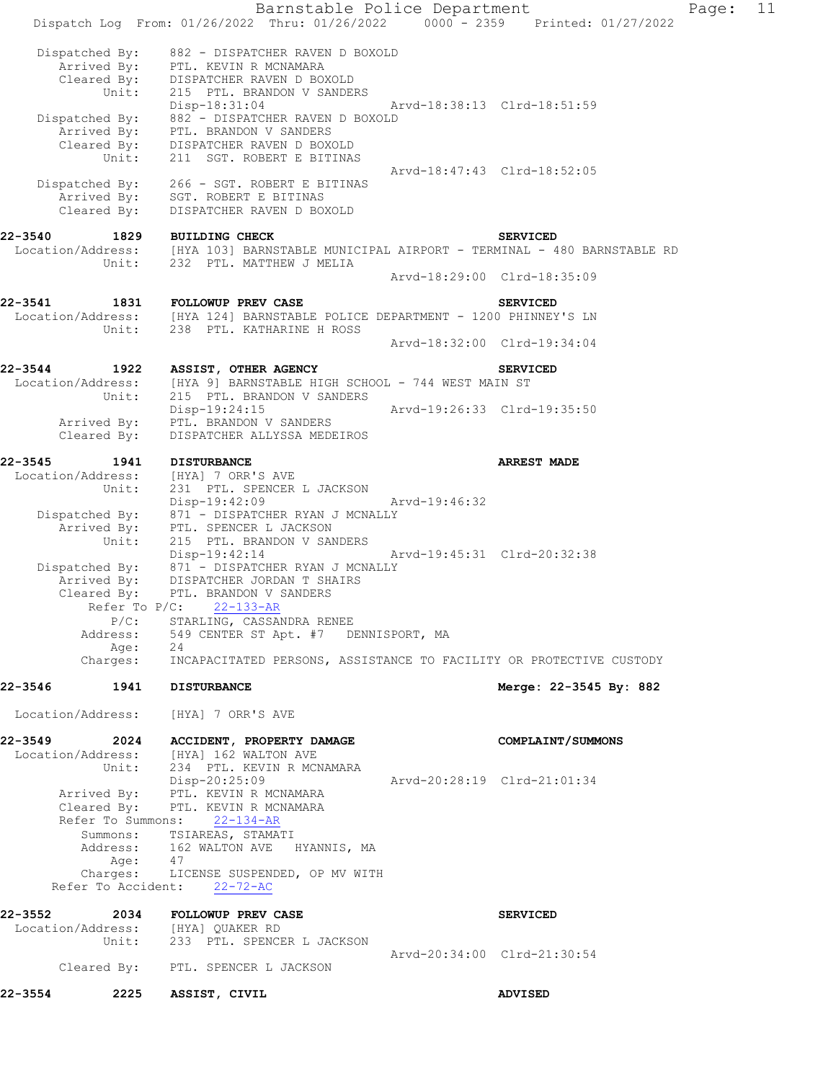Barnstable Police Department Page: 11 Dispatch Log From: 01/26/2022 Thru: 01/26/2022 0000 - 2359 Printed: 01/27/2022 Dispatched By: 882 - DISPATCHER RAVEN D BOXOLD Arrived By: PTL. KEVIN R MCNAMARA Cleared By: DISPATCHER RAVEN D BOXOLD Unit: 215 PTL. BRANDON V SANDERS Disp-18:31:04 Arvd-18:38:13 Clrd-18:51:59 Dispatched By: 882 - DISPATCHER RAVEN D BOXOLD Arrived By: PTL. BRANDON V SANDERS Cleared By: DISPATCHER RAVEN D BOXOLD Unit: 211 SGT. ROBERT E BITINAS Arvd-18:47:43 Clrd-18:52:05 Dispatched By: 266 - SGT. ROBERT E BITINAS Arrived By: SGT. ROBERT E BITINAS Cleared By: DISPATCHER RAVEN D BOXOLD **22-3540 1829 BUILDING CHECK SERVICED**  Location/Address: [HYA 103] BARNSTABLE MUNICIPAL AIRPORT - TERMINAL - 480 BARNSTABLE RD Unit: 232 PTL. MATTHEW J MELIA Arvd-18:29:00 Clrd-18:35:09 **22-3541 1831 FOLLOWUP PREV CASE SERVICED**  [HYA 124] BARNSTABLE POLICE DEPARTMENT - 1200 PHINNEY'S LN Unit: 238 PTL. KATHARINE H ROSS Arvd-18:32:00 Clrd-19:34:04 **22-3544 1922 ASSIST, OTHER AGENCY SERVICED**  Location/Address: [HYA 9] BARNSTABLE HIGH SCHOOL - 744 WEST MAIN ST<br>Unit: 215 PTL. BRANDON V SANDERS 215 PTL. BRANDON V SANDERS Disp-19:24:15 Arvd-19:26:33 Clrd-19:35:50 Arrived By: PTL. BRANDON V SANDERS Cleared By: DISPATCHER ALLYSSA MEDEIROS **22-3545** 1941 DISTURBANCE **1941** ARREST MADE Location/Address: [HYA] 7 ORR'S AVE Unit: 231 PTL. SPENCER L JACKSON Disp-19:42:09 Arvd-19:46:32 Dispatched By: 871 - DISPATCHER RYAN J MCNALLY Arrived By: PTL. SPENCER L JACKSON Unit: 215 PTL. BRANDON V SANDERS Disp-19:42:14 Arvd-19:45:31 Clrd-20:32:38 Dispatched By: 871 - DISPATCHER RYAN J MCNALLY Arrived By: DISPATCHER JORDAN T SHAIRS Cleared By: PTL. BRANDON V SANDERS Refer To  $P/C$ :  $22-133-R$ P/C: STARLING, CASSANDRA RENEE<br>Address: 549 CENTER ST Apt. #7 DI 549 CENTER ST Apt. #7 DENNISPORT, MA Age: 24 Charges: INCAPACITATED PERSONS, ASSISTANCE TO FACILITY OR PROTECTIVE CUSTODY **22-3546 1941 DISTURBANCE Merge: 22-3545 By: 882**  Location/Address: [HYA] 7 ORR'S AVE **22-3549 2024 ACCIDENT, PROPERTY DAMAGE COMPLAINT/SUMMONS**  Location/Address: [HYA] 162 WALTON AVE Unit: 234 PTL. KEVIN R MCNAMARA Disp-20:25:09 Arvd-20:28:19 Clrd-21:01:34 Arrived By: PTL. KEVIN R MCNAMARA Cleared By: PTL. KEVIN R MCNAMARA Refer To Summons: 22-134-AR Summons: TSIAREAS, STAMATI Address: 162 WALTON AVE HYANNIS, MA Age: 47 Charges: LICENSE SUSPENDED, OP MV WITH Refer To Accident: 22-72-AC **22-3552 2034 FOLLOWUP PREV CASE SERVICED**  Location/Address: [HYA] QUAKER RD Unit: 233 PTL. SPENCER L JACKSON Arvd-20:34:00 Clrd-21:30:54 Cleared By: PTL. SPENCER L JACKSON **22-3554 2225 ASSIST, CIVIL ADVISED**